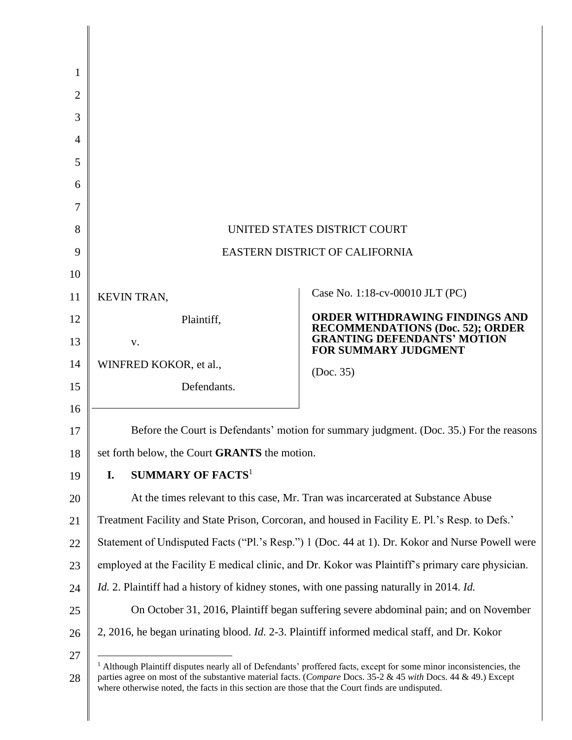| 1<br>$\overline{2}$ |                                                                                                                                                                                                                                                                                                                                                    |                                                                                                        |
|---------------------|----------------------------------------------------------------------------------------------------------------------------------------------------------------------------------------------------------------------------------------------------------------------------------------------------------------------------------------------------|--------------------------------------------------------------------------------------------------------|
| 3                   |                                                                                                                                                                                                                                                                                                                                                    |                                                                                                        |
| $\overline{A}$      |                                                                                                                                                                                                                                                                                                                                                    |                                                                                                        |
| 5                   |                                                                                                                                                                                                                                                                                                                                                    |                                                                                                        |
| 6                   |                                                                                                                                                                                                                                                                                                                                                    |                                                                                                        |
| 7                   |                                                                                                                                                                                                                                                                                                                                                    |                                                                                                        |
| 8                   | UNITED STATES DISTRICT COURT                                                                                                                                                                                                                                                                                                                       |                                                                                                        |
| 9                   | EASTERN DISTRICT OF CALIFORNIA                                                                                                                                                                                                                                                                                                                     |                                                                                                        |
| 10                  |                                                                                                                                                                                                                                                                                                                                                    |                                                                                                        |
| 11                  | KEVIN TRAN,                                                                                                                                                                                                                                                                                                                                        | Case No. 1:18-cv-00010 JLT (PC)                                                                        |
| 12                  | Plaintiff,                                                                                                                                                                                                                                                                                                                                         | ORDER WITHDRAWING FINDINGS AND                                                                         |
| 13                  | V.                                                                                                                                                                                                                                                                                                                                                 | <b>RECOMMENDATIONS (Doc. 52); ORDER<br/>GRANTING DEFENDANTS' MOTION</b><br><b>FOR SUMMARY JUDGMENT</b> |
| 14                  | WINFRED KOKOR, et al.,                                                                                                                                                                                                                                                                                                                             | (Doc. 35)                                                                                              |
| 15                  | Defendants.                                                                                                                                                                                                                                                                                                                                        |                                                                                                        |
| 16                  |                                                                                                                                                                                                                                                                                                                                                    |                                                                                                        |
| 17                  | Before the Court is Defendants' motion for summary judgment. (Doc. 35.) For the reasons                                                                                                                                                                                                                                                            |                                                                                                        |
| 18                  | set forth below, the Court <b>GRANTS</b> the motion.                                                                                                                                                                                                                                                                                               |                                                                                                        |
| 19                  | <b>SUMMARY OF FACTS</b> <sup>1</sup><br>I.                                                                                                                                                                                                                                                                                                         |                                                                                                        |
| 20                  | At the times relevant to this case, Mr. Tran was incarcerated at Substance Abuse                                                                                                                                                                                                                                                                   |                                                                                                        |
| 21                  | Treatment Facility and State Prison, Corcoran, and housed in Facility E. Pl.'s Resp. to Defs.'                                                                                                                                                                                                                                                     |                                                                                                        |
| 22                  | Statement of Undisputed Facts ("Pl.'s Resp.") 1 (Doc. 44 at 1). Dr. Kokor and Nurse Powell were                                                                                                                                                                                                                                                    |                                                                                                        |
| 23                  | employed at the Facility E medical clinic, and Dr. Kokor was Plaintiff's primary care physician.                                                                                                                                                                                                                                                   |                                                                                                        |
| 24                  | <i>Id.</i> 2. Plaintiff had a history of kidney stones, with one passing naturally in 2014. <i>Id.</i>                                                                                                                                                                                                                                             |                                                                                                        |
| 25                  | On October 31, 2016, Plaintiff began suffering severe abdominal pain; and on November                                                                                                                                                                                                                                                              |                                                                                                        |
| 26                  | 2, 2016, he began urinating blood. <i>Id.</i> 2-3. Plaintiff informed medical staff, and Dr. Kokor                                                                                                                                                                                                                                                 |                                                                                                        |
| 27                  |                                                                                                                                                                                                                                                                                                                                                    |                                                                                                        |
| 28                  | <sup>1</sup> Although Plaintiff disputes nearly all of Defendants' proffered facts, except for some minor inconsistencies, the<br>parties agree on most of the substantive material facts. (Compare Docs. 35-2 & 45 with Docs. 44 & 49.) Except<br>where otherwise noted, the facts in this section are those that the Court finds are undisputed. |                                                                                                        |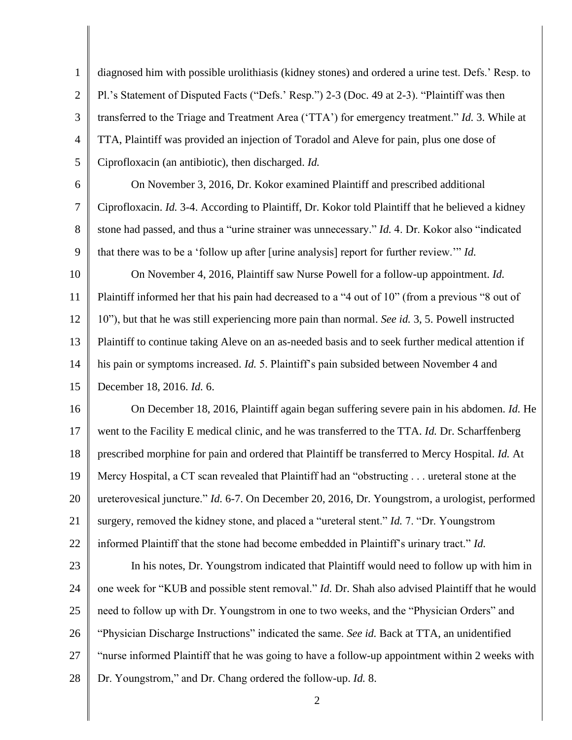1 2 3 4 5 6 7 8 9 10 11 12 13 14 15 16 17 18 19 20 21 22 23 24 25 26 27 diagnosed him with possible urolithiasis (kidney stones) and ordered a urine test. Defs.' Resp. to Pl.'s Statement of Disputed Facts ("Defs.' Resp.") 2-3 (Doc. 49 at 2-3). "Plaintiff was then transferred to the Triage and Treatment Area ('TTA') for emergency treatment." *Id.* 3. While at TTA, Plaintiff was provided an injection of Toradol and Aleve for pain, plus one dose of Ciprofloxacin (an antibiotic), then discharged. *Id.* On November 3, 2016, Dr. Kokor examined Plaintiff and prescribed additional Ciprofloxacin. *Id.* 3-4. According to Plaintiff, Dr. Kokor told Plaintiff that he believed a kidney stone had passed, and thus a "urine strainer was unnecessary." *Id.* 4. Dr. Kokor also "indicated that there was to be a 'follow up after [urine analysis] report for further review.'" *Id.* On November 4, 2016, Plaintiff saw Nurse Powell for a follow-up appointment. *Id.* Plaintiff informed her that his pain had decreased to a "4 out of 10" (from a previous "8 out of 10"), but that he was still experiencing more pain than normal. *See id.* 3, 5. Powell instructed Plaintiff to continue taking Aleve on an as-needed basis and to seek further medical attention if his pain or symptoms increased. *Id.* 5. Plaintiff's pain subsided between November 4 and December 18, 2016. *Id.* 6. On December 18, 2016, Plaintiff again began suffering severe pain in his abdomen. *Id.* He went to the Facility E medical clinic, and he was transferred to the TTA. *Id.* Dr. Scharffenberg prescribed morphine for pain and ordered that Plaintiff be transferred to Mercy Hospital. *Id.* At Mercy Hospital, a CT scan revealed that Plaintiff had an "obstructing . . . ureteral stone at the ureterovesical juncture." *Id.* 6-7. On December 20, 2016, Dr. Youngstrom, a urologist, performed surgery, removed the kidney stone, and placed a "ureteral stent." *Id.* 7. "Dr. Youngstrom informed Plaintiff that the stone had become embedded in Plaintiff's urinary tract." *Id.* In his notes, Dr. Youngstrom indicated that Plaintiff would need to follow up with him in one week for "KUB and possible stent removal." *Id.* Dr. Shah also advised Plaintiff that he would need to follow up with Dr. Youngstrom in one to two weeks, and the "Physician Orders" and "Physician Discharge Instructions" indicated the same. *See id.* Back at TTA, an unidentified "nurse informed Plaintiff that he was going to have a follow-up appointment within 2 weeks with

28 Dr. Youngstrom," and Dr. Chang ordered the follow-up. *Id.* 8.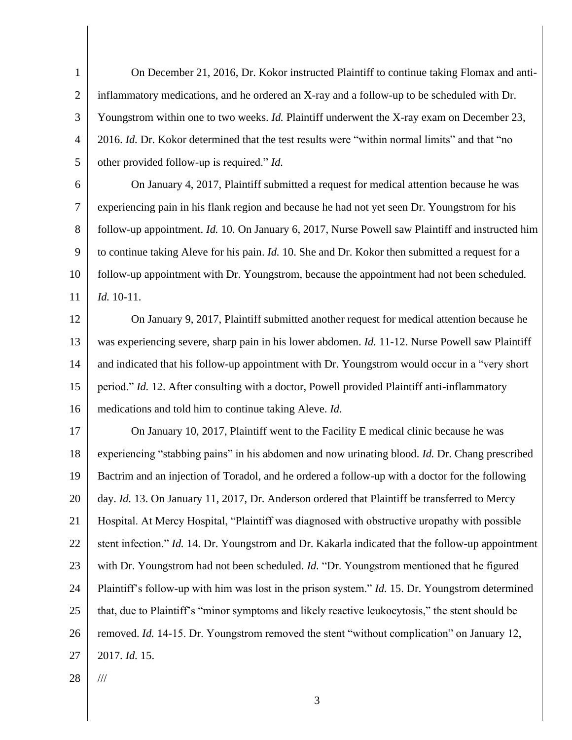1 2 3 4 5 On December 21, 2016, Dr. Kokor instructed Plaintiff to continue taking Flomax and antiinflammatory medications, and he ordered an X-ray and a follow-up to be scheduled with Dr. Youngstrom within one to two weeks. *Id.* Plaintiff underwent the X-ray exam on December 23, 2016. *Id.* Dr. Kokor determined that the test results were "within normal limits" and that "no other provided follow-up is required." *Id.*

6 7 8 9 10 11 On January 4, 2017, Plaintiff submitted a request for medical attention because he was experiencing pain in his flank region and because he had not yet seen Dr. Youngstrom for his follow-up appointment. *Id.* 10. On January 6, 2017, Nurse Powell saw Plaintiff and instructed him to continue taking Aleve for his pain. *Id.* 10. She and Dr. Kokor then submitted a request for a follow-up appointment with Dr. Youngstrom, because the appointment had not been scheduled. *Id.* 10-11.

12 13 14 15 16 On January 9, 2017, Plaintiff submitted another request for medical attention because he was experiencing severe, sharp pain in his lower abdomen. *Id.* 11-12. Nurse Powell saw Plaintiff and indicated that his follow-up appointment with Dr. Youngstrom would occur in a "very short period." *Id.* 12. After consulting with a doctor, Powell provided Plaintiff anti-inflammatory medications and told him to continue taking Aleve. *Id.*

17 18 19 20 21 22 23 24 25 26 27 On January 10, 2017, Plaintiff went to the Facility E medical clinic because he was experiencing "stabbing pains" in his abdomen and now urinating blood. *Id.* Dr. Chang prescribed Bactrim and an injection of Toradol, and he ordered a follow-up with a doctor for the following day. *Id.* 13. On January 11, 2017, Dr. Anderson ordered that Plaintiff be transferred to Mercy Hospital. At Mercy Hospital, "Plaintiff was diagnosed with obstructive uropathy with possible stent infection." *Id.* 14. Dr. Youngstrom and Dr. Kakarla indicated that the follow-up appointment with Dr. Youngstrom had not been scheduled. *Id.* "Dr. Youngstrom mentioned that he figured Plaintiff's follow-up with him was lost in the prison system." *Id.* 15. Dr. Youngstrom determined that, due to Plaintiff's "minor symptoms and likely reactive leukocytosis," the stent should be removed. *Id.* 14-15. Dr. Youngstrom removed the stent "without complication" on January 12, 2017. *Id.* 15.

28

///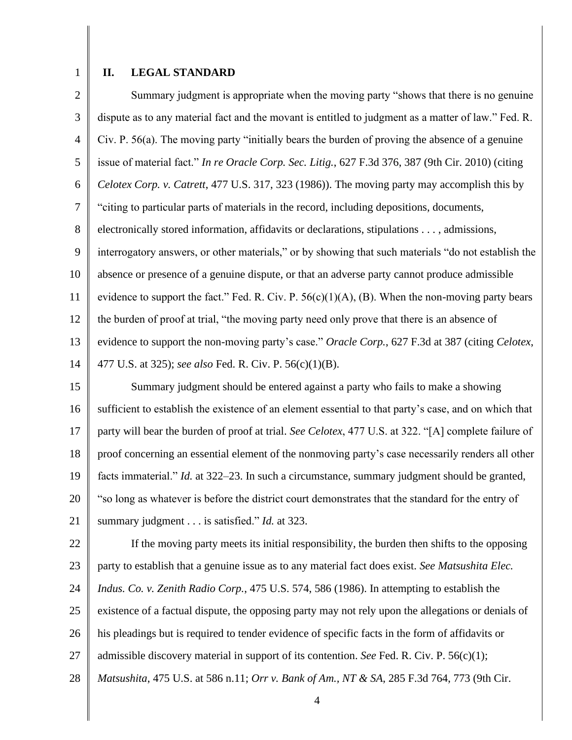1

## **II. LEGAL STANDARD**

2 3 4 5 6 7 8 9 10 11 12 13 14 Summary judgment is appropriate when the moving party "shows that there is no genuine dispute as to any material fact and the movant is entitled to judgment as a matter of law." Fed. R. Civ. P. 56(a). The moving party "initially bears the burden of proving the absence of a genuine issue of material fact." *In re Oracle Corp. Sec. Litig.*, 627 F.3d 376, 387 (9th Cir. 2010) (citing *Celotex Corp. v. Catrett*, 477 U.S. 317, 323 (1986)). The moving party may accomplish this by "citing to particular parts of materials in the record, including depositions, documents, electronically stored information, affidavits or declarations, stipulations . . . , admissions, interrogatory answers, or other materials," or by showing that such materials "do not establish the absence or presence of a genuine dispute, or that an adverse party cannot produce admissible evidence to support the fact." Fed. R. Civ. P.  $56(c)(1)(A)$ , (B). When the non-moving party bears the burden of proof at trial, "the moving party need only prove that there is an absence of evidence to support the non-moving party's case." *Oracle Corp.*, 627 F.3d at 387 (citing *Celotex*, 477 U.S. at 325); *see also* Fed. R. Civ. P. 56(c)(1)(B).

15 16 17 18 19 20 21 Summary judgment should be entered against a party who fails to make a showing sufficient to establish the existence of an element essential to that party's case, and on which that party will bear the burden of proof at trial. *See Celotex*, 477 U.S. at 322. "[A] complete failure of proof concerning an essential element of the nonmoving party's case necessarily renders all other facts immaterial." *Id.* at 322–23. In such a circumstance, summary judgment should be granted, "so long as whatever is before the district court demonstrates that the standard for the entry of summary judgment . . . is satisfied." *Id.* at 323.

22 23 24 25 26 27 28 If the moving party meets its initial responsibility, the burden then shifts to the opposing party to establish that a genuine issue as to any material fact does exist. *See Matsushita Elec. Indus. Co. v. Zenith Radio Corp.*, 475 U.S. 574, 586 (1986). In attempting to establish the existence of a factual dispute, the opposing party may not rely upon the allegations or denials of his pleadings but is required to tender evidence of specific facts in the form of affidavits or admissible discovery material in support of its contention. *See* Fed. R. Civ. P. 56(c)(1); *Matsushita*, 475 U.S. at 586 n.11; *Orr v. Bank of Am., NT & SA*, 285 F.3d 764, 773 (9th Cir.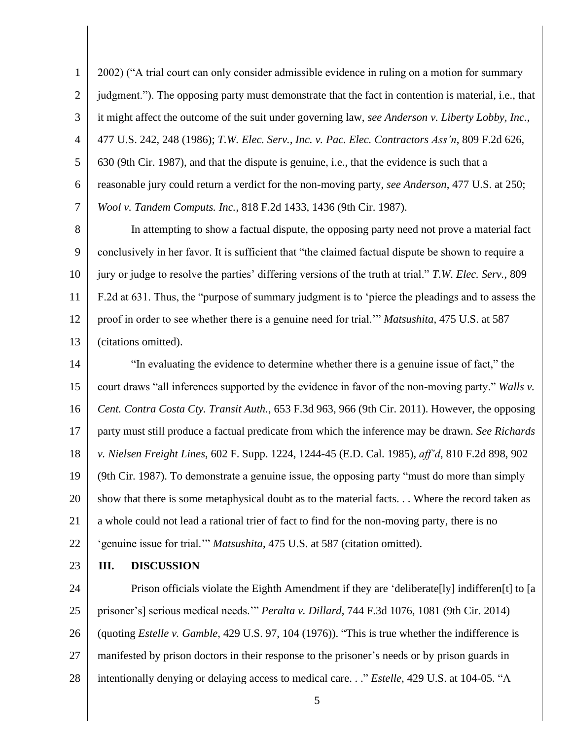1 2 3 4 5 6 7 2002) ("A trial court can only consider admissible evidence in ruling on a motion for summary judgment."). The opposing party must demonstrate that the fact in contention is material, i.e., that it might affect the outcome of the suit under governing law, *see Anderson v. Liberty Lobby, Inc.*, 477 U.S. 242, 248 (1986); *T.W. Elec. Serv., Inc. v. Pac. Elec. Contractors Ass'n*, 809 F.2d 626, 630 (9th Cir. 1987), and that the dispute is genuine, i.e., that the evidence is such that a reasonable jury could return a verdict for the non-moving party, *see Anderson*, 477 U.S. at 250; *Wool v. Tandem Computs. Inc.*, 818 F.2d 1433, 1436 (9th Cir. 1987).

8 9 10 11 12 13 In attempting to show a factual dispute, the opposing party need not prove a material fact conclusively in her favor. It is sufficient that "the claimed factual dispute be shown to require a jury or judge to resolve the parties' differing versions of the truth at trial." *T.W. Elec. Serv.*, 809 F.2d at 631. Thus, the "purpose of summary judgment is to 'pierce the pleadings and to assess the proof in order to see whether there is a genuine need for trial.'" *Matsushita*, 475 U.S. at 587 (citations omitted).

14 15 16 17 18 19 20 21 22 "In evaluating the evidence to determine whether there is a genuine issue of fact," the court draws "all inferences supported by the evidence in favor of the non-moving party." *Walls v. Cent. Contra Costa Cty. Transit Auth.*, 653 F.3d 963, 966 (9th Cir. 2011). However, the opposing party must still produce a factual predicate from which the inference may be drawn. *See Richards v. Nielsen Freight Lines*, 602 F. Supp. 1224, 1244-45 (E.D. Cal. 1985), *aff'd*, 810 F.2d 898, 902 (9th Cir. 1987). To demonstrate a genuine issue, the opposing party "must do more than simply show that there is some metaphysical doubt as to the material facts. . . Where the record taken as a whole could not lead a rational trier of fact to find for the non-moving party, there is no 'genuine issue for trial.'" *Matsushita*, 475 U.S. at 587 (citation omitted).

23 **III. DISCUSSION**

24 25 26 27 28 Prison officials violate the Eighth Amendment if they are 'deliberate[ly] indifferen[t] to [a prisoner's] serious medical needs.'" *Peralta v. Dillard*, 744 F.3d 1076, 1081 (9th Cir. 2014) (quoting *Estelle v. Gamble*, 429 U.S. 97, 104 (1976)). "This is true whether the indifference is manifested by prison doctors in their response to the prisoner's needs or by prison guards in intentionally denying or delaying access to medical care. . ." *Estelle*, 429 U.S. at 104-05. "A

5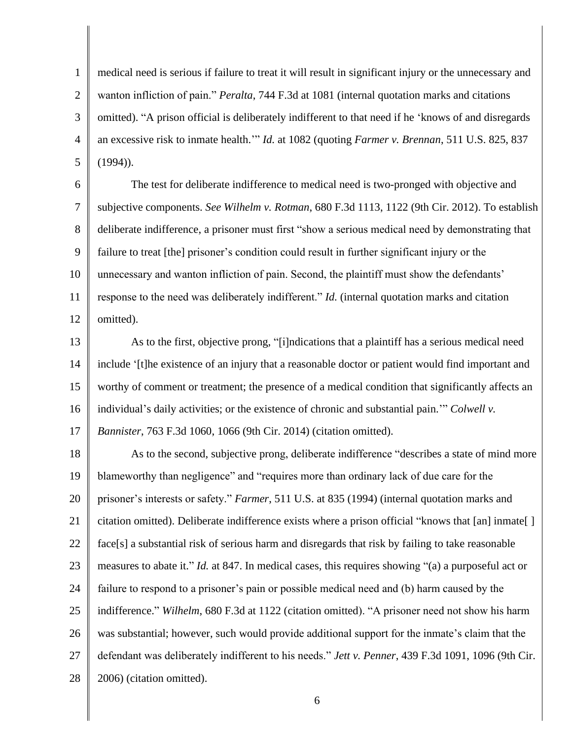1 2 3 4 5 medical need is serious if failure to treat it will result in significant injury or the unnecessary and wanton infliction of pain." *Peralta*, 744 F.3d at 1081 (internal quotation marks and citations omitted). "A prison official is deliberately indifferent to that need if he 'knows of and disregards an excessive risk to inmate health.'" *Id.* at 1082 (quoting *Farmer v. Brennan*, 511 U.S. 825, 837  $(1994)$ ).

6 7 8 9 10 11 12 The test for deliberate indifference to medical need is two-pronged with objective and subjective components. *See Wilhelm v. Rotman*, 680 F.3d 1113, 1122 (9th Cir. 2012). To establish deliberate indifference, a prisoner must first "show a serious medical need by demonstrating that failure to treat [the] prisoner's condition could result in further significant injury or the unnecessary and wanton infliction of pain. Second, the plaintiff must show the defendants' response to the need was deliberately indifferent." *Id.* (internal quotation marks and citation omitted).

13 14 15 16 17 As to the first, objective prong, "[i]ndications that a plaintiff has a serious medical need include '[t]he existence of an injury that a reasonable doctor or patient would find important and worthy of comment or treatment; the presence of a medical condition that significantly affects an individual's daily activities; or the existence of chronic and substantial pain.'" *Colwell v. Bannister*, 763 F.3d 1060, 1066 (9th Cir. 2014) (citation omitted).

18 19 20 21 22 23 24 25 26 27 28 As to the second, subjective prong, deliberate indifference "describes a state of mind more blameworthy than negligence" and "requires more than ordinary lack of due care for the prisoner's interests or safety." *Farmer*, 511 U.S. at 835 (1994) (internal quotation marks and citation omitted). Deliberate indifference exists where a prison official "knows that [an] inmate[ ] face[s] a substantial risk of serious harm and disregards that risk by failing to take reasonable measures to abate it." *Id.* at 847. In medical cases, this requires showing "(a) a purposeful act or failure to respond to a prisoner's pain or possible medical need and (b) harm caused by the indifference." *Wilhelm*, 680 F.3d at 1122 (citation omitted). "A prisoner need not show his harm was substantial; however, such would provide additional support for the inmate's claim that the defendant was deliberately indifferent to his needs." *Jett v. Penner*, 439 F.3d 1091, 1096 (9th Cir. 2006) (citation omitted).

6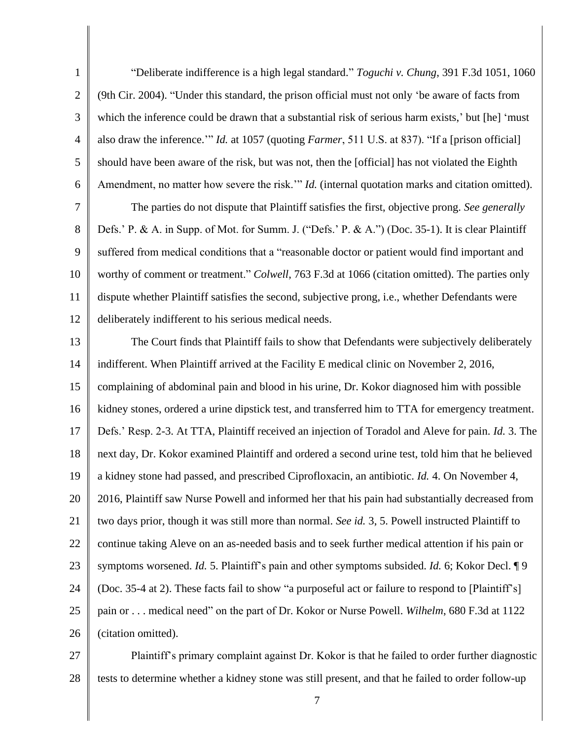1 2 3 4 5 6 "Deliberate indifference is a high legal standard." *Toguchi v. Chung*, 391 F.3d 1051, 1060 (9th Cir. 2004). "Under this standard, the prison official must not only 'be aware of facts from which the inference could be drawn that a substantial risk of serious harm exists,' but [he] 'must also draw the inference.'" *Id.* at 1057 (quoting *Farmer*, 511 U.S. at 837). "If a [prison official] should have been aware of the risk, but was not, then the [official] has not violated the Eighth Amendment, no matter how severe the risk.'" *Id.* (internal quotation marks and citation omitted).

7 8 9 10 11 12 The parties do not dispute that Plaintiff satisfies the first, objective prong. *See generally* Defs.' P. & A. in Supp. of Mot. for Summ. J. ("Defs.' P. & A.") (Doc. 35-1). It is clear Plaintiff suffered from medical conditions that a "reasonable doctor or patient would find important and worthy of comment or treatment." *Colwell*, 763 F.3d at 1066 (citation omitted). The parties only dispute whether Plaintiff satisfies the second, subjective prong, i.e., whether Defendants were deliberately indifferent to his serious medical needs.

13 14 15 16 17 18 19 20 21 22 23 24 25 26 The Court finds that Plaintiff fails to show that Defendants were subjectively deliberately indifferent. When Plaintiff arrived at the Facility E medical clinic on November 2, 2016, complaining of abdominal pain and blood in his urine, Dr. Kokor diagnosed him with possible kidney stones, ordered a urine dipstick test, and transferred him to TTA for emergency treatment. Defs.' Resp. 2-3. At TTA, Plaintiff received an injection of Toradol and Aleve for pain. *Id.* 3. The next day, Dr. Kokor examined Plaintiff and ordered a second urine test, told him that he believed a kidney stone had passed, and prescribed Ciprofloxacin, an antibiotic. *Id.* 4. On November 4, 2016, Plaintiff saw Nurse Powell and informed her that his pain had substantially decreased from two days prior, though it was still more than normal. *See id.* 3, 5. Powell instructed Plaintiff to continue taking Aleve on an as-needed basis and to seek further medical attention if his pain or symptoms worsened. *Id.* 5. Plaintiff's pain and other symptoms subsided. *Id.* 6; Kokor Decl. ¶ 9 (Doc. 35-4 at 2). These facts fail to show "a purposeful act or failure to respond to [Plaintiff's] pain or . . . medical need" on the part of Dr. Kokor or Nurse Powell. *Wilhelm*, 680 F.3d at 1122 (citation omitted).

27 28 Plaintiff's primary complaint against Dr. Kokor is that he failed to order further diagnostic tests to determine whether a kidney stone was still present, and that he failed to order follow-up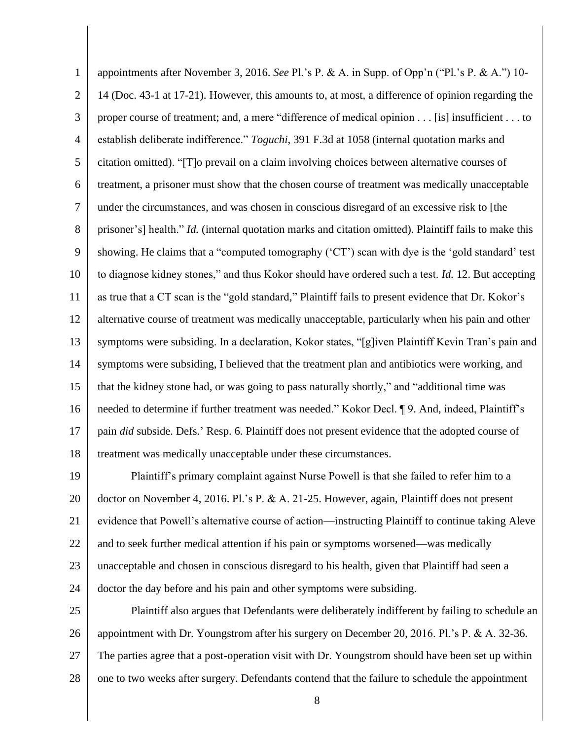1 2 3 4 5 6 7 8 9 10 11 12 13 14 15 16 17 18 appointments after November 3, 2016. *See* Pl.'s P. & A. in Supp. of Opp'n ("Pl.'s P. & A.") 10- 14 (Doc. 43-1 at 17-21). However, this amounts to, at most, a difference of opinion regarding the proper course of treatment; and, a mere "difference of medical opinion . . . [is] insufficient . . . to establish deliberate indifference." *Toguchi*, 391 F.3d at 1058 (internal quotation marks and citation omitted). "[T]o prevail on a claim involving choices between alternative courses of treatment, a prisoner must show that the chosen course of treatment was medically unacceptable under the circumstances, and was chosen in conscious disregard of an excessive risk to [the prisoner's] health." *Id.* (internal quotation marks and citation omitted). Plaintiff fails to make this showing. He claims that a "computed tomography ('CT') scan with dye is the 'gold standard' test to diagnose kidney stones," and thus Kokor should have ordered such a test. *Id.* 12. But accepting as true that a CT scan is the "gold standard," Plaintiff fails to present evidence that Dr. Kokor's alternative course of treatment was medically unacceptable, particularly when his pain and other symptoms were subsiding. In a declaration, Kokor states, "[g]iven Plaintiff Kevin Tran's pain and symptoms were subsiding, I believed that the treatment plan and antibiotics were working, and that the kidney stone had, or was going to pass naturally shortly," and "additional time was needed to determine if further treatment was needed." Kokor Decl. ¶ 9. And, indeed, Plaintiff's pain *did* subside. Defs.' Resp. 6. Plaintiff does not present evidence that the adopted course of treatment was medically unacceptable under these circumstances.

19 20 21 22 23 24 Plaintiff's primary complaint against Nurse Powell is that she failed to refer him to a doctor on November 4, 2016. Pl.'s P. & A. 21-25. However, again, Plaintiff does not present evidence that Powell's alternative course of action—instructing Plaintiff to continue taking Aleve and to seek further medical attention if his pain or symptoms worsened—was medically unacceptable and chosen in conscious disregard to his health, given that Plaintiff had seen a doctor the day before and his pain and other symptoms were subsiding.

25 26 27 28 Plaintiff also argues that Defendants were deliberately indifferent by failing to schedule an appointment with Dr. Youngstrom after his surgery on December 20, 2016. Pl.'s P. & A. 32-36. The parties agree that a post-operation visit with Dr. Youngstrom should have been set up within one to two weeks after surgery. Defendants contend that the failure to schedule the appointment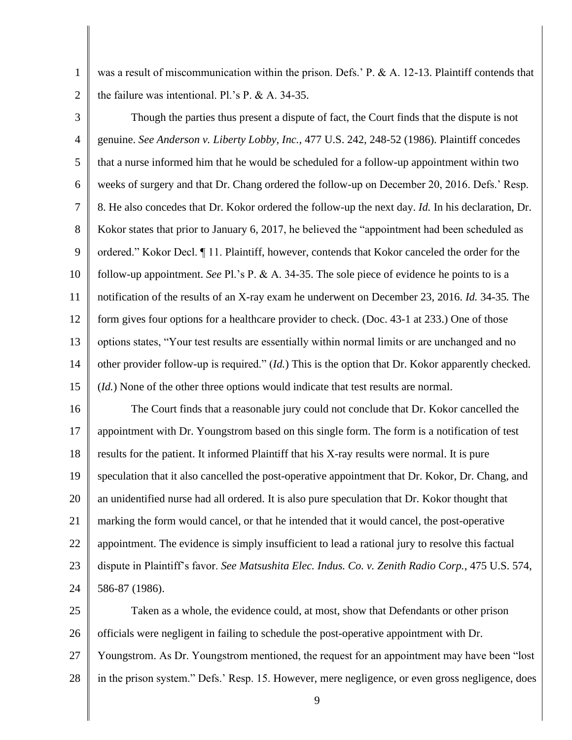1 2 was a result of miscommunication within the prison. Defs.' P. & A. 12-13. Plaintiff contends that the failure was intentional. Pl.'s P. & A. 34-35.

3 4 5 6 7 8 9 10 11 12 13 14 15 Though the parties thus present a dispute of fact, the Court finds that the dispute is not genuine. *See Anderson v. Liberty Lobby, Inc.*, 477 U.S. 242, 248-52 (1986). Plaintiff concedes that a nurse informed him that he would be scheduled for a follow-up appointment within two weeks of surgery and that Dr. Chang ordered the follow-up on December 20, 2016. Defs.' Resp. 8. He also concedes that Dr. Kokor ordered the follow-up the next day. *Id.* In his declaration, Dr. Kokor states that prior to January 6, 2017, he believed the "appointment had been scheduled as ordered." Kokor Decl. ¶ 11. Plaintiff, however, contends that Kokor canceled the order for the follow-up appointment. *See* Pl.'s P. & A. 34-35. The sole piece of evidence he points to is a notification of the results of an X-ray exam he underwent on December 23, 2016. *Id.* 34-35*.* The form gives four options for a healthcare provider to check. (Doc. 43-1 at 233.) One of those options states, "Your test results are essentially within normal limits or are unchanged and no other provider follow-up is required." (*Id.*) This is the option that Dr. Kokor apparently checked. (*Id.*) None of the other three options would indicate that test results are normal.

16 17 18 19 20 21 22 23 24 The Court finds that a reasonable jury could not conclude that Dr. Kokor cancelled the appointment with Dr. Youngstrom based on this single form. The form is a notification of test results for the patient. It informed Plaintiff that his X-ray results were normal. It is pure speculation that it also cancelled the post-operative appointment that Dr. Kokor, Dr. Chang, and an unidentified nurse had all ordered. It is also pure speculation that Dr. Kokor thought that marking the form would cancel, or that he intended that it would cancel, the post-operative appointment. The evidence is simply insufficient to lead a rational jury to resolve this factual dispute in Plaintiff's favor. *See Matsushita Elec. Indus. Co. v. Zenith Radio Corp.*, 475 U.S. 574, 586-87 (1986).

25 26 27 28 Taken as a whole, the evidence could, at most, show that Defendants or other prison officials were negligent in failing to schedule the post-operative appointment with Dr. Youngstrom. As Dr. Youngstrom mentioned, the request for an appointment may have been "lost in the prison system." Defs.' Resp. 15. However, mere negligence, or even gross negligence, does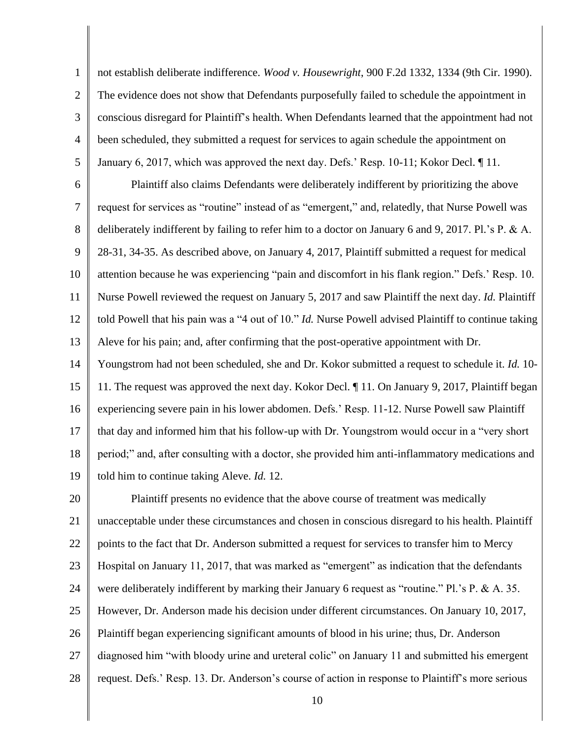1 2 3 4 5 not establish deliberate indifference. *Wood v. Housewright*, 900 F.2d 1332, 1334 (9th Cir. 1990). The evidence does not show that Defendants purposefully failed to schedule the appointment in conscious disregard for Plaintiff's health. When Defendants learned that the appointment had not been scheduled, they submitted a request for services to again schedule the appointment on January 6, 2017, which was approved the next day. Defs.' Resp. 10-11; Kokor Decl. ¶ 11.

6 7 8 9 10 11 12 13 Plaintiff also claims Defendants were deliberately indifferent by prioritizing the above request for services as "routine" instead of as "emergent," and, relatedly, that Nurse Powell was deliberately indifferent by failing to refer him to a doctor on January 6 and 9, 2017. Pl.'s P. & A. 28-31, 34-35. As described above, on January 4, 2017, Plaintiff submitted a request for medical attention because he was experiencing "pain and discomfort in his flank region." Defs.' Resp. 10. Nurse Powell reviewed the request on January 5, 2017 and saw Plaintiff the next day. *Id.* Plaintiff told Powell that his pain was a "4 out of 10." *Id.* Nurse Powell advised Plaintiff to continue taking Aleve for his pain; and, after confirming that the post-operative appointment with Dr.

14 15 16 17 18 19 Youngstrom had not been scheduled, she and Dr. Kokor submitted a request to schedule it. *Id.* 10- 11. The request was approved the next day. Kokor Decl. ¶ 11. On January 9, 2017, Plaintiff began experiencing severe pain in his lower abdomen. Defs.' Resp. 11-12. Nurse Powell saw Plaintiff that day and informed him that his follow-up with Dr. Youngstrom would occur in a "very short period;" and, after consulting with a doctor, she provided him anti-inflammatory medications and told him to continue taking Aleve. *Id.* 12.

20 21 22 23 24 25 26 27 28 Plaintiff presents no evidence that the above course of treatment was medically unacceptable under these circumstances and chosen in conscious disregard to his health. Plaintiff points to the fact that Dr. Anderson submitted a request for services to transfer him to Mercy Hospital on January 11, 2017, that was marked as "emergent" as indication that the defendants were deliberately indifferent by marking their January 6 request as "routine." Pl.'s P. & A. 35. However, Dr. Anderson made his decision under different circumstances. On January 10, 2017, Plaintiff began experiencing significant amounts of blood in his urine; thus, Dr. Anderson diagnosed him "with bloody urine and ureteral colic" on January 11 and submitted his emergent request. Defs.' Resp. 13. Dr. Anderson's course of action in response to Plaintiff's more serious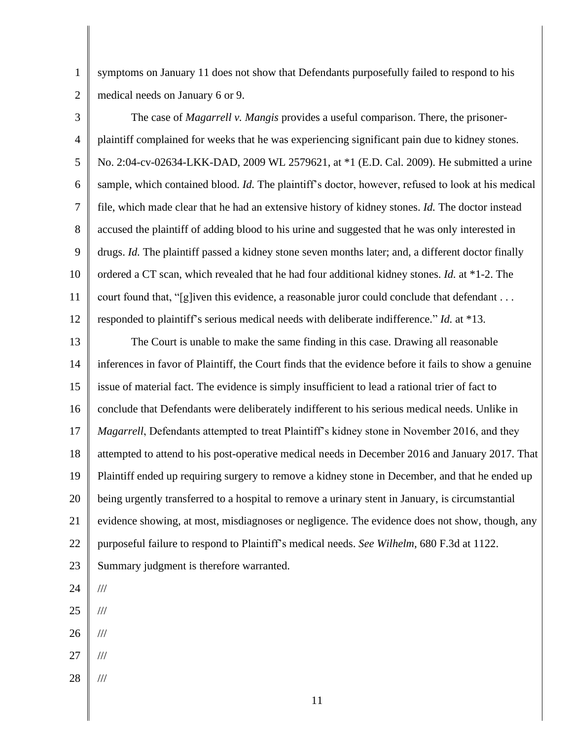1 2 symptoms on January 11 does not show that Defendants purposefully failed to respond to his medical needs on January 6 or 9.

3 4 5 6 7 8 9 10 11 12 The case of *Magarrell v. Mangis* provides a useful comparison. There, the prisonerplaintiff complained for weeks that he was experiencing significant pain due to kidney stones. No. 2:04-cv-02634-LKK-DAD, 2009 WL 2579621, at \*1 (E.D. Cal. 2009). He submitted a urine sample, which contained blood. *Id.* The plaintiff's doctor, however, refused to look at his medical file, which made clear that he had an extensive history of kidney stones. *Id.* The doctor instead accused the plaintiff of adding blood to his urine and suggested that he was only interested in drugs. *Id.* The plaintiff passed a kidney stone seven months later; and, a different doctor finally ordered a CT scan, which revealed that he had four additional kidney stones. *Id.* at \*1-2. The court found that, "[g]iven this evidence, a reasonable juror could conclude that defendant . . . responded to plaintiff's serious medical needs with deliberate indifference." *Id.* at \*13.

13 14 15 16 17 18 19 20 21 22 23 The Court is unable to make the same finding in this case. Drawing all reasonable inferences in favor of Plaintiff, the Court finds that the evidence before it fails to show a genuine issue of material fact. The evidence is simply insufficient to lead a rational trier of fact to conclude that Defendants were deliberately indifferent to his serious medical needs. Unlike in *Magarrell*, Defendants attempted to treat Plaintiff's kidney stone in November 2016, and they attempted to attend to his post-operative medical needs in December 2016 and January 2017. That Plaintiff ended up requiring surgery to remove a kidney stone in December, and that he ended up being urgently transferred to a hospital to remove a urinary stent in January, is circumstantial evidence showing, at most, misdiagnoses or negligence. The evidence does not show, though, any purposeful failure to respond to Plaintiff's medical needs. *See Wilhelm*, 680 F.3d at 1122. Summary judgment is therefore warranted.

- 24 ///
- 25 ///
- 26 ///
- 27 ///
- 28 ///

11